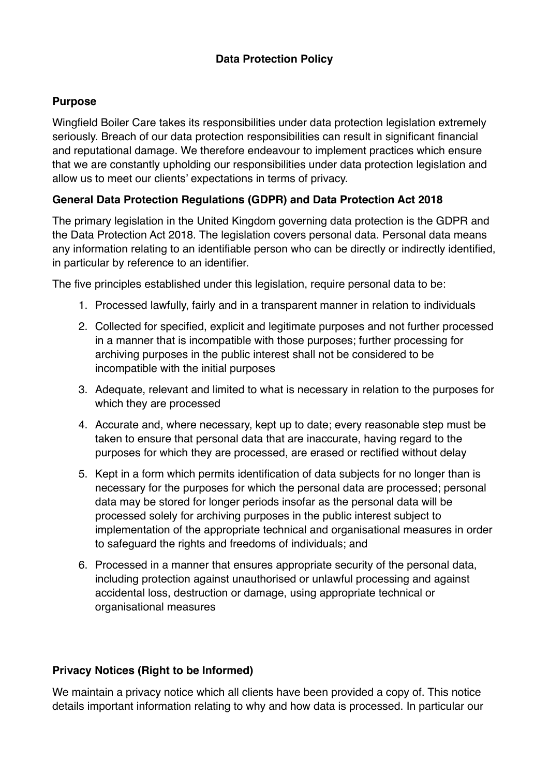### **Data Protection Policy**

#### **Purpose**

Wingfield Boiler Care takes its responsibilities under data protection legislation extremely seriously. Breach of our data protection responsibilities can result in significant financial and reputational damage. We therefore endeavour to implement practices which ensure that we are constantly upholding our responsibilities under data protection legislation and allow us to meet our clients' expectations in terms of privacy.

# **General Data Protection Regulations (GDPR) and Data Protection Act 2018**

The primary legislation in the United Kingdom governing data protection is the GDPR and the Data Protection Act 2018. The legislation covers personal data. Personal data means any information relating to an identifiable person who can be directly or indirectly identified, in particular by reference to an identifier.

The five principles established under this legislation, require personal data to be:

- 1. Processed lawfully, fairly and in a transparent manner in relation to individuals
- 2. Collected for specified, explicit and legitimate purposes and not further processed in a manner that is incompatible with those purposes; further processing for archiving purposes in the public interest shall not be considered to be incompatible with the initial purposes
- 3. Adequate, relevant and limited to what is necessary in relation to the purposes for which they are processed
- 4. Accurate and, where necessary, kept up to date; every reasonable step must be taken to ensure that personal data that are inaccurate, having regard to the purposes for which they are processed, are erased or rectified without delay
- 5. Kept in a form which permits identification of data subjects for no longer than is necessary for the purposes for which the personal data are processed; personal data may be stored for longer periods insofar as the personal data will be processed solely for archiving purposes in the public interest subject to implementation of the appropriate technical and organisational measures in order to safeguard the rights and freedoms of individuals; and
- 6. Processed in a manner that ensures appropriate security of the personal data, including protection against unauthorised or unlawful processing and against accidental loss, destruction or damage, using appropriate technical or organisational measures

#### **Privacy Notices (Right to be Informed)**

We maintain a privacy notice which all clients have been provided a copy of. This notice details important information relating to why and how data is processed. In particular our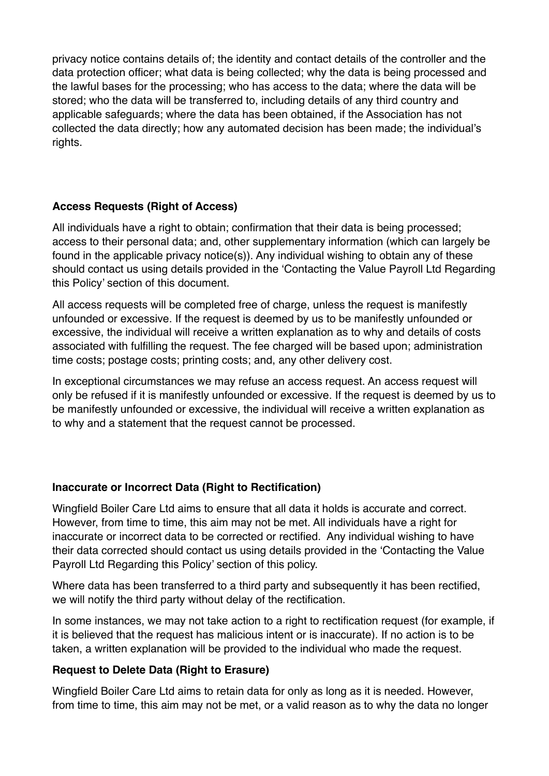privacy notice contains details of; the identity and contact details of the controller and the data protection officer; what data is being collected; why the data is being processed and the lawful bases for the processing; who has access to the data; where the data will be stored; who the data will be transferred to, including details of any third country and applicable safeguards; where the data has been obtained, if the Association has not collected the data directly; how any automated decision has been made; the individual's rights.

# **Access Requests (Right of Access)**

All individuals have a right to obtain; confirmation that their data is being processed; access to their personal data; and, other supplementary information (which can largely be found in the applicable privacy notice(s)). Any individual wishing to obtain any of these should contact us using details provided in the 'Contacting the Value Payroll Ltd Regarding this Policy' section of this document.

All access requests will be completed free of charge, unless the request is manifestly unfounded or excessive. If the request is deemed by us to be manifestly unfounded or excessive, the individual will receive a written explanation as to why and details of costs associated with fulfilling the request. The fee charged will be based upon; administration time costs; postage costs; printing costs; and, any other delivery cost.

In exceptional circumstances we may refuse an access request. An access request will only be refused if it is manifestly unfounded or excessive. If the request is deemed by us to be manifestly unfounded or excessive, the individual will receive a written explanation as to why and a statement that the request cannot be processed.

#### **Inaccurate or Incorrect Data (Right to Rectification)**

Wingfield Boiler Care Ltd aims to ensure that all data it holds is accurate and correct. However, from time to time, this aim may not be met. All individuals have a right for inaccurate or incorrect data to be corrected or rectified. Any individual wishing to have their data corrected should contact us using details provided in the 'Contacting the Value Payroll Ltd Regarding this Policy' section of this policy.

Where data has been transferred to a third party and subsequently it has been rectified, we will notify the third party without delay of the rectification.

In some instances, we may not take action to a right to rectification request (for example, if it is believed that the request has malicious intent or is inaccurate). If no action is to be taken, a written explanation will be provided to the individual who made the request.

# **Request to Delete Data (Right to Erasure)**

Wingfield Boiler Care Ltd aims to retain data for only as long as it is needed. However, from time to time, this aim may not be met, or a valid reason as to why the data no longer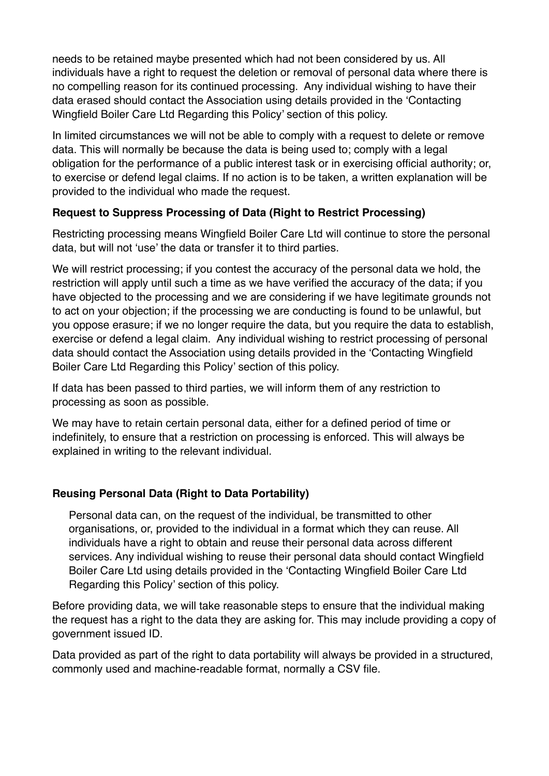needs to be retained maybe presented which had not been considered by us. All individuals have a right to request the deletion or removal of personal data where there is no compelling reason for its continued processing. Any individual wishing to have their data erased should contact the Association using details provided in the 'Contacting Wingfield Boiler Care Ltd Regarding this Policy' section of this policy.

In limited circumstances we will not be able to comply with a request to delete or remove data. This will normally be because the data is being used to; comply with a legal obligation for the performance of a public interest task or in exercising official authority; or, to exercise or defend legal claims. If no action is to be taken, a written explanation will be provided to the individual who made the request.

### **Request to Suppress Processing of Data (Right to Restrict Processing)**

Restricting processing means Wingfield Boiler Care Ltd will continue to store the personal data, but will not 'use' the data or transfer it to third parties.

We will restrict processing; if you contest the accuracy of the personal data we hold, the restriction will apply until such a time as we have verified the accuracy of the data; if you have objected to the processing and we are considering if we have legitimate grounds not to act on your objection; if the processing we are conducting is found to be unlawful, but you oppose erasure; if we no longer require the data, but you require the data to establish, exercise or defend a legal claim. Any individual wishing to restrict processing of personal data should contact the Association using details provided in the 'Contacting Wingfield Boiler Care Ltd Regarding this Policy' section of this policy.

If data has been passed to third parties, we will inform them of any restriction to processing as soon as possible.

We may have to retain certain personal data, either for a defined period of time or indefinitely, to ensure that a restriction on processing is enforced. This will always be explained in writing to the relevant individual.

#### **Reusing Personal Data (Right to Data Portability)**

Personal data can, on the request of the individual, be transmitted to other organisations, or, provided to the individual in a format which they can reuse. All individuals have a right to obtain and reuse their personal data across different services. Any individual wishing to reuse their personal data should contact Wingfield Boiler Care Ltd using details provided in the 'Contacting Wingfield Boiler Care Ltd Regarding this Policy' section of this policy.

Before providing data, we will take reasonable steps to ensure that the individual making the request has a right to the data they are asking for. This may include providing a copy of government issued ID.

Data provided as part of the right to data portability will always be provided in a structured, commonly used and machine-readable format, normally a CSV file.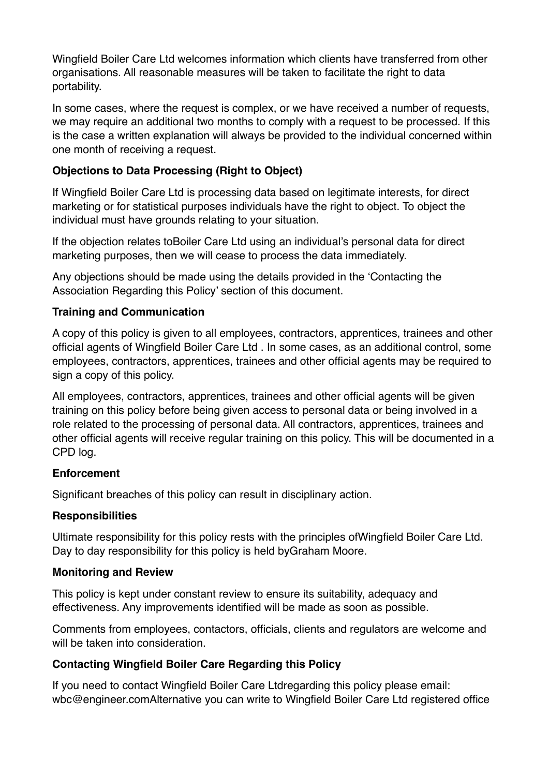Wingfield Boiler Care Ltd welcomes information which clients have transferred from other organisations. All reasonable measures will be taken to facilitate the right to data portability.

In some cases, where the request is complex, or we have received a number of requests, we may require an additional two months to comply with a request to be processed. If this is the case a written explanation will always be provided to the individual concerned within one month of receiving a request.

### **Objections to Data Processing (Right to Object)**

If Wingfield Boiler Care Ltd is processing data based on legitimate interests, for direct marketing or for statistical purposes individuals have the right to object. To object the individual must have grounds relating to your situation.

If the objection relates toBoiler Care Ltd using an individual's personal data for direct marketing purposes, then we will cease to process the data immediately.

Any objections should be made using the details provided in the 'Contacting the Association Regarding this Policy' section of this document.

### **Training and Communication**

A copy of this policy is given to all employees, contractors, apprentices, trainees and other official agents of Wingfield Boiler Care Ltd . In some cases, as an additional control, some employees, contractors, apprentices, trainees and other official agents may be required to sign a copy of this policy.

All employees, contractors, apprentices, trainees and other official agents will be given training on this policy before being given access to personal data or being involved in a role related to the processing of personal data. All contractors, apprentices, trainees and other official agents will receive regular training on this policy. This will be documented in a CPD log.

#### **Enforcement**

Significant breaches of this policy can result in disciplinary action.

# **Responsibilities**

Ultimate responsibility for this policy rests with the principles ofWingfield Boiler Care Ltd. Day to day responsibility for this policy is held byGraham Moore.

# **Monitoring and Review**

This policy is kept under constant review to ensure its suitability, adequacy and effectiveness. Any improvements identified will be made as soon as possible.

Comments from employees, contactors, officials, clients and regulators are welcome and will be taken into consideration.

# **Contacting Wingfield Boiler Care Regarding this Policy**

If you need to contact Wingfield Boiler Care Ltdregarding this policy please email: wbc@engineer.comAlternative you can write to Wingfield Boiler Care Ltd registered office